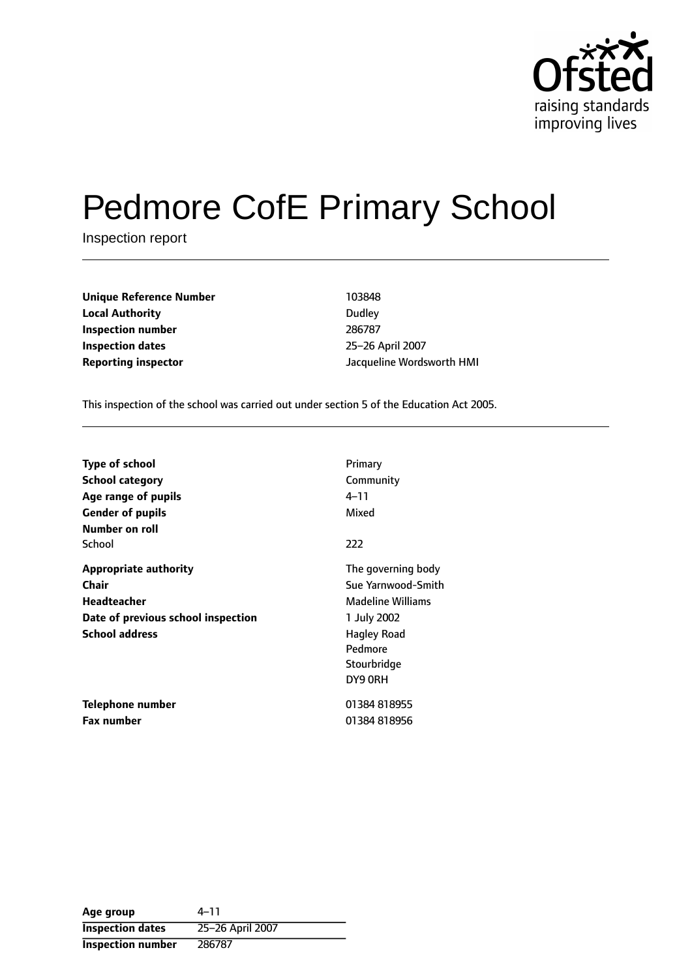

# Pedmore CofE Primary School

Inspection report

| Unique Reference Number    | 103848    |
|----------------------------|-----------|
| <b>Local Authority</b>     | Dudley    |
| Inspection number          | 286787    |
| <b>Inspection dates</b>    | $25 - 26$ |
| <b>Reporting inspector</b> | Jacquel   |

**Inspection number** 286787 **Inspection dates** 2526 April 2007 **Reporting inspector** Jacqueline Wordsworth HMI

This inspection of the school was carried out under section 5 of the Education Act 2005.

| <b>Type of school</b><br><b>School category</b><br>Age range of pupils<br><b>Gender of pupils</b>                          | Primary<br>Community<br>4–11<br>Mixed                                                                                                   |
|----------------------------------------------------------------------------------------------------------------------------|-----------------------------------------------------------------------------------------------------------------------------------------|
| Number on roll<br>School                                                                                                   | 222                                                                                                                                     |
| <b>Appropriate authority</b><br>Chair<br><b>Headteacher</b><br>Date of previous school inspection<br><b>School address</b> | The governing body<br>Sue Yarnwood-Smith<br><b>Madeline Williams</b><br>1 July 2002<br>Hagley Road<br>Pedmore<br>Stourbridge<br>DY9 ORH |
| Telephone number<br><b>Fax number</b>                                                                                      | 01384818955<br>01384818956                                                                                                              |
|                                                                                                                            |                                                                                                                                         |

Age group  $4-11$ **Inspection dates** 25-26 April 2007 **Inspection number** 286787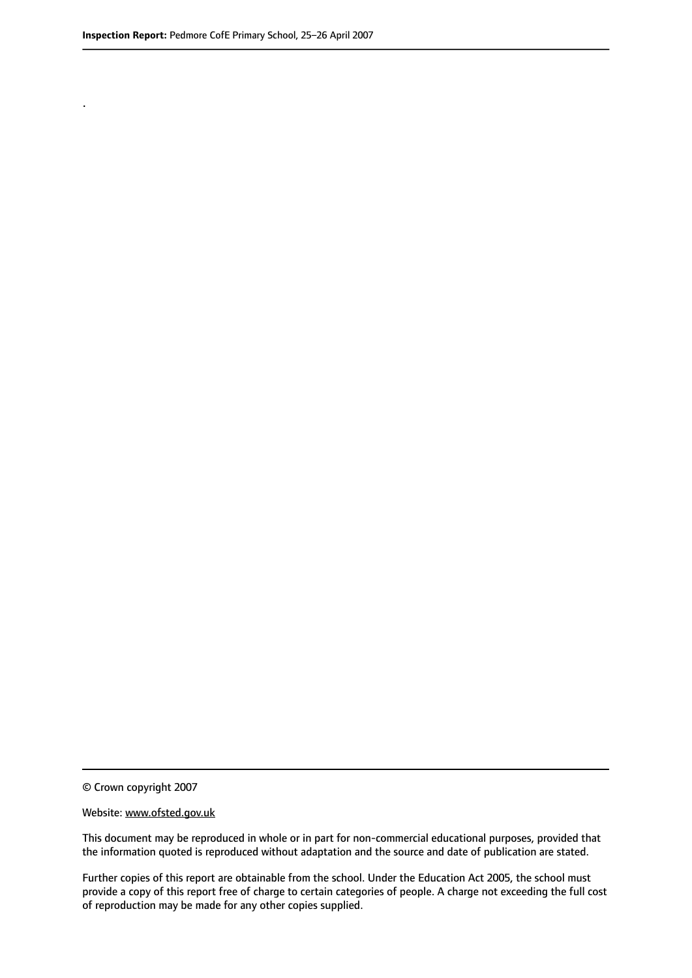.

© Crown copyright 2007

#### Website: www.ofsted.gov.uk

This document may be reproduced in whole or in part for non-commercial educational purposes, provided that the information quoted is reproduced without adaptation and the source and date of publication are stated.

Further copies of this report are obtainable from the school. Under the Education Act 2005, the school must provide a copy of this report free of charge to certain categories of people. A charge not exceeding the full cost of reproduction may be made for any other copies supplied.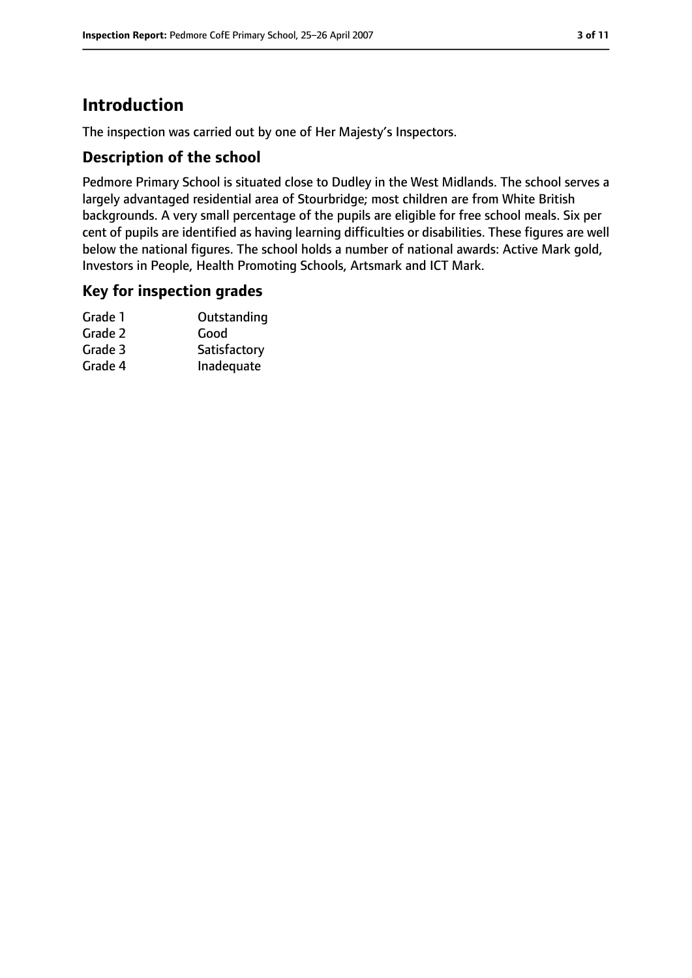### **Introduction**

The inspection was carried out by one of Her Majesty's Inspectors.

#### **Description of the school**

Pedmore Primary School is situated close to Dudley in the West Midlands. The school serves a largely advantaged residential area of Stourbridge; most children are from White British backgrounds. A very small percentage of the pupils are eligible for free school meals. Six per cent of pupils are identified as having learning difficulties or disabilities. These figures are well below the national figures. The school holds a number of national awards: Active Mark gold, Investors in People, Health Promoting Schools, Artsmark and ICT Mark.

#### **Key for inspection grades**

| Grade 1 | Outstanding  |
|---------|--------------|
| Grade 2 | Good         |
| Grade 3 | Satisfactory |
| Grade 4 | Inadequate   |
|         |              |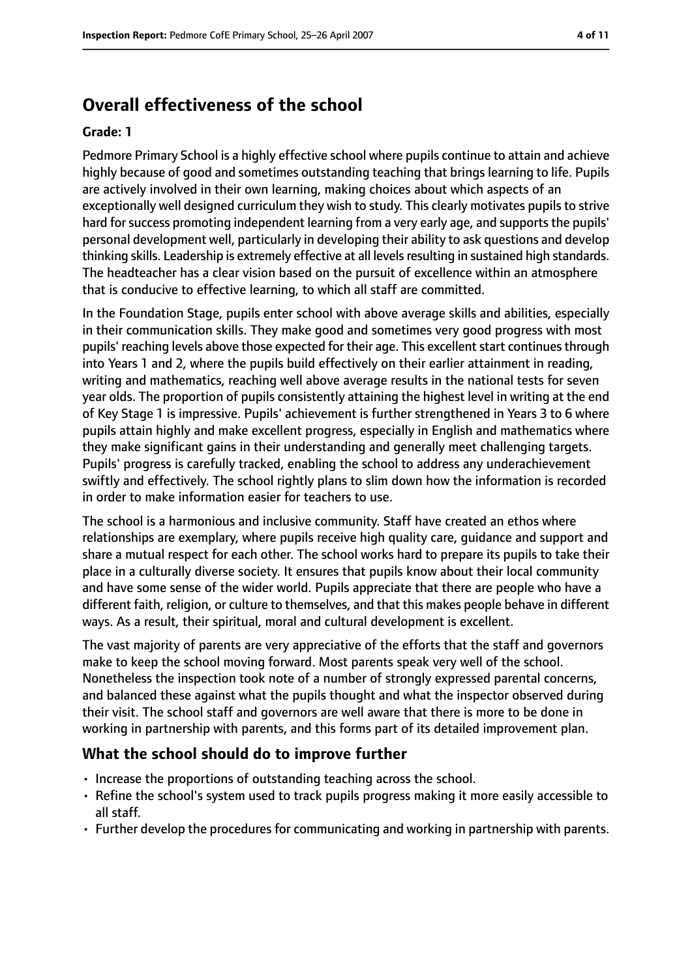### **Overall effectiveness of the school**

#### **Grade: 1**

Pedmore Primary School is a highly effective school where pupils continue to attain and achieve highly because of good and sometimes outstanding teaching that brings learning to life. Pupils are actively involved in their own learning, making choices about which aspects of an exceptionally well designed curriculum they wish to study. This clearly motivates pupils to strive hard for success promoting independent learning from a very early age, and supports the pupils' personal development well, particularly in developing their ability to ask questions and develop thinking skills. Leadership is extremely effective at all levelsresulting in sustained high standards. The headteacher has a clear vision based on the pursuit of excellence within an atmosphere that is conducive to effective learning, to which all staff are committed.

In the Foundation Stage, pupils enter school with above average skills and abilities, especially in their communication skills. They make good and sometimes very good progress with most pupils' reaching levels above those expected for their age. This excellent start continues through into Years 1 and 2, where the pupils build effectively on their earlier attainment in reading, writing and mathematics, reaching well above average results in the national tests for seven year olds. The proportion of pupils consistently attaining the highest level in writing at the end of Key Stage 1 is impressive. Pupils' achievement is further strengthened in Years 3 to 6 where pupils attain highly and make excellent progress, especially in English and mathematics where they make significant gains in their understanding and generally meet challenging targets. Pupils' progress is carefully tracked, enabling the school to address any underachievement swiftly and effectively. The school rightly plans to slim down how the information is recorded in order to make information easier for teachers to use.

The school is a harmonious and inclusive community. Staff have created an ethos where relationships are exemplary, where pupils receive high quality care, guidance and support and share a mutual respect for each other. The school works hard to prepare its pupils to take their place in a culturally diverse society. It ensures that pupils know about their local community and have some sense of the wider world. Pupils appreciate that there are people who have a different faith, religion, or culture to themselves, and that this makes people behave in different ways. As a result, their spiritual, moral and cultural development is excellent.

The vast majority of parents are very appreciative of the efforts that the staff and governors make to keep the school moving forward. Most parents speak very well of the school. Nonetheless the inspection took note of a number of strongly expressed parental concerns, and balanced these against what the pupils thought and what the inspector observed during their visit. The school staff and governors are well aware that there is more to be done in working in partnership with parents, and this forms part of its detailed improvement plan.

### **What the school should do to improve further**

- Increase the proportions of outstanding teaching across the school.
- Refine the school's system used to track pupils progress making it more easily accessible to all staff.
- Further develop the procedures for communicating and working in partnership with parents.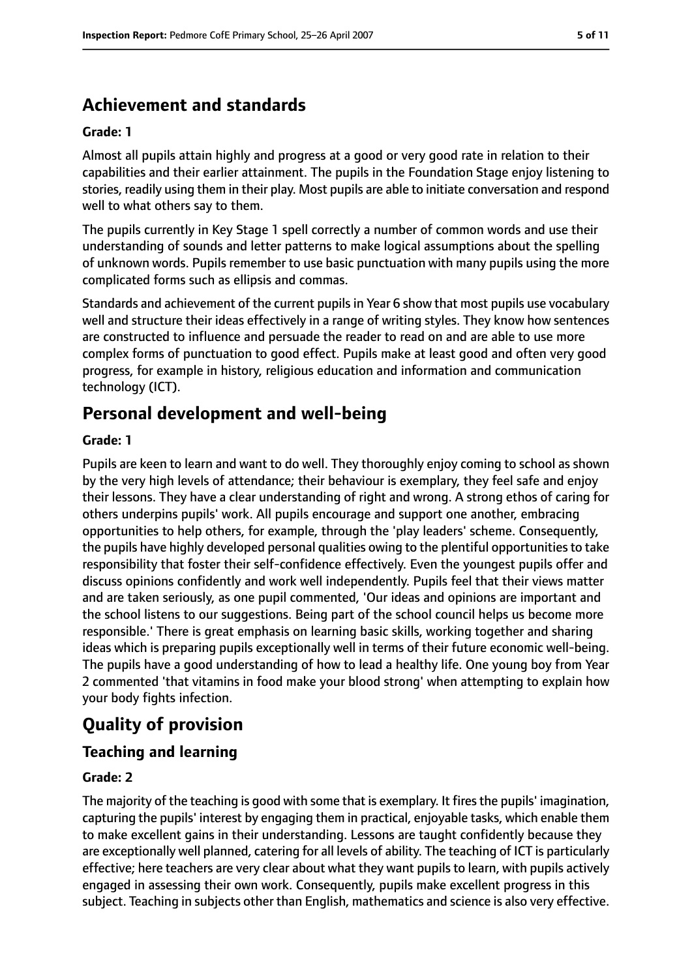### **Achievement and standards**

#### **Grade: 1**

Almost all pupils attain highly and progress at a good or very good rate in relation to their capabilities and their earlier attainment. The pupils in the Foundation Stage enjoy listening to stories, readily using them in their play. Most pupils are able to initiate conversation and respond well to what others say to them.

The pupils currently in Key Stage 1 spell correctly a number of common words and use their understanding of sounds and letter patterns to make logical assumptions about the spelling of unknown words. Pupils remember to use basic punctuation with many pupils using the more complicated forms such as ellipsis and commas.

Standards and achievement of the current pupilsin Year 6 show that most pupils use vocabulary well and structure their ideas effectively in a range of writing styles. They know how sentences are constructed to influence and persuade the reader to read on and are able to use more complex forms of punctuation to good effect. Pupils make at least good and often very good progress, for example in history, religious education and information and communication technology (ICT).

### **Personal development and well-being**

#### **Grade: 1**

Pupils are keen to learn and want to do well. They thoroughly enjoy coming to school as shown by the very high levels of attendance; their behaviour is exemplary, they feel safe and enjoy their lessons. They have a clear understanding of right and wrong. A strong ethos of caring for others underpins pupils' work. All pupils encourage and support one another, embracing opportunities to help others, for example, through the 'play leaders' scheme. Consequently, the pupils have highly developed personal qualities owing to the plentiful opportunitiesto take responsibility that foster their self-confidence effectively. Even the youngest pupils offer and discuss opinions confidently and work well independently. Pupils feel that their views matter and are taken seriously, as one pupil commented, 'Our ideas and opinions are important and the school listens to our suggestions. Being part of the school council helps us become more responsible.' There is great emphasis on learning basic skills, working together and sharing ideas which is preparing pupils exceptionally well in terms of their future economic well-being. The pupils have a good understanding of how to lead a healthy life. One young boy from Year 2 commented 'that vitamins in food make your blood strong' when attempting to explain how your body fights infection.

### **Quality of provision**

### **Teaching and learning**

#### **Grade: 2**

The majority of the teaching is good with some that is exemplary. It fires the pupils' imagination, capturing the pupils' interest by engaging them in practical, enjoyable tasks, which enable them to make excellent gains in their understanding. Lessons are taught confidently because they are exceptionally well planned, catering for all levels of ability. The teaching of ICT is particularly effective; here teachers are very clear about what they want pupils to learn, with pupils actively engaged in assessing their own work. Consequently, pupils make excellent progress in this subject. Teaching in subjects other than English, mathematics and science is also very effective.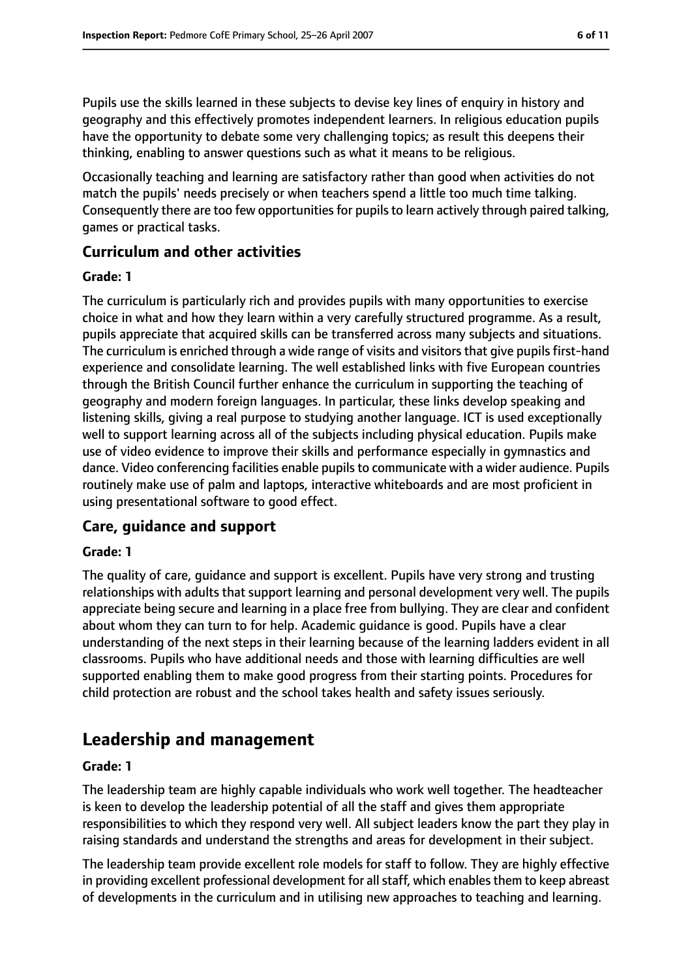Pupils use the skills learned in these subjects to devise key lines of enquiry in history and geography and this effectively promotes independent learners. In religious education pupils have the opportunity to debate some very challenging topics; as result this deepens their thinking, enabling to answer questions such as what it means to be religious.

Occasionally teaching and learning are satisfactory rather than good when activities do not match the pupils' needs precisely or when teachers spend a little too much time talking. Consequently there are too few opportunities for pupils to learn actively through paired talking, games or practical tasks.

#### **Curriculum and other activities**

#### **Grade: 1**

The curriculum is particularly rich and provides pupils with many opportunities to exercise choice in what and how they learn within a very carefully structured programme. As a result, pupils appreciate that acquired skills can be transferred across many subjects and situations. The curriculum is enriched through a wide range of visits and visitors that give pupils first-hand experience and consolidate learning. The well established links with five European countries through the British Council further enhance the curriculum in supporting the teaching of geography and modern foreign languages. In particular, these links develop speaking and listening skills, giving a real purpose to studying another language. ICT is used exceptionally well to support learning across all of the subjects including physical education. Pupils make use of video evidence to improve their skills and performance especially in gymnastics and dance. Video conferencing facilities enable pupils to communicate with a wider audience. Pupils routinely make use of palm and laptops, interactive whiteboards and are most proficient in using presentational software to good effect.

#### **Care, guidance and support**

#### **Grade: 1**

The quality of care, guidance and support is excellent. Pupils have very strong and trusting relationships with adults that support learning and personal development very well. The pupils appreciate being secure and learning in a place free from bullying. They are clear and confident about whom they can turn to for help. Academic guidance is good. Pupils have a clear understanding of the next steps in their learning because of the learning ladders evident in all classrooms. Pupils who have additional needs and those with learning difficulties are well supported enabling them to make good progress from their starting points. Procedures for child protection are robust and the school takes health and safety issues seriously.

### **Leadership and management**

#### **Grade: 1**

The leadership team are highly capable individuals who work well together. The headteacher is keen to develop the leadership potential of all the staff and gives them appropriate responsibilities to which they respond very well. All subject leaders know the part they play in raising standards and understand the strengths and areas for development in their subject.

The leadership team provide excellent role models for staff to follow. They are highly effective in providing excellent professional development for all staff, which enables them to keep abreast of developments in the curriculum and in utilising new approaches to teaching and learning.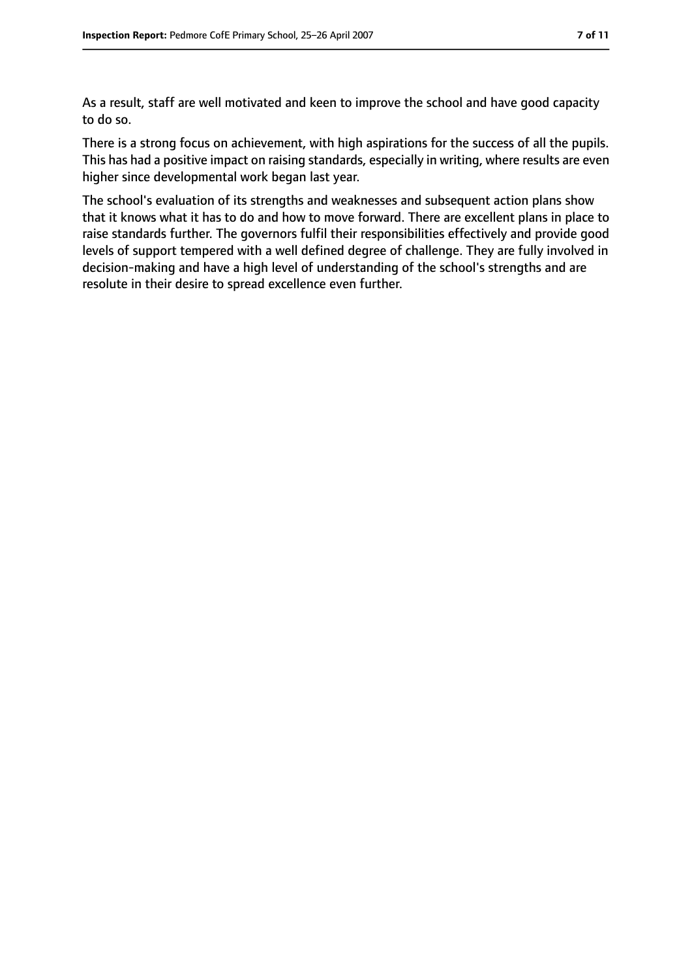As a result, staff are well motivated and keen to improve the school and have good capacity to do so.

There is a strong focus on achievement, with high aspirations for the success of all the pupils. This has had a positive impact on raising standards, especially in writing, where results are even higher since developmental work began last year.

The school's evaluation of its strengths and weaknesses and subsequent action plans show that it knows what it has to do and how to move forward. There are excellent plans in place to raise standards further. The governors fulfil their responsibilities effectively and provide good levels of support tempered with a well defined degree of challenge. They are fully involved in decision-making and have a high level of understanding of the school's strengths and are resolute in their desire to spread excellence even further.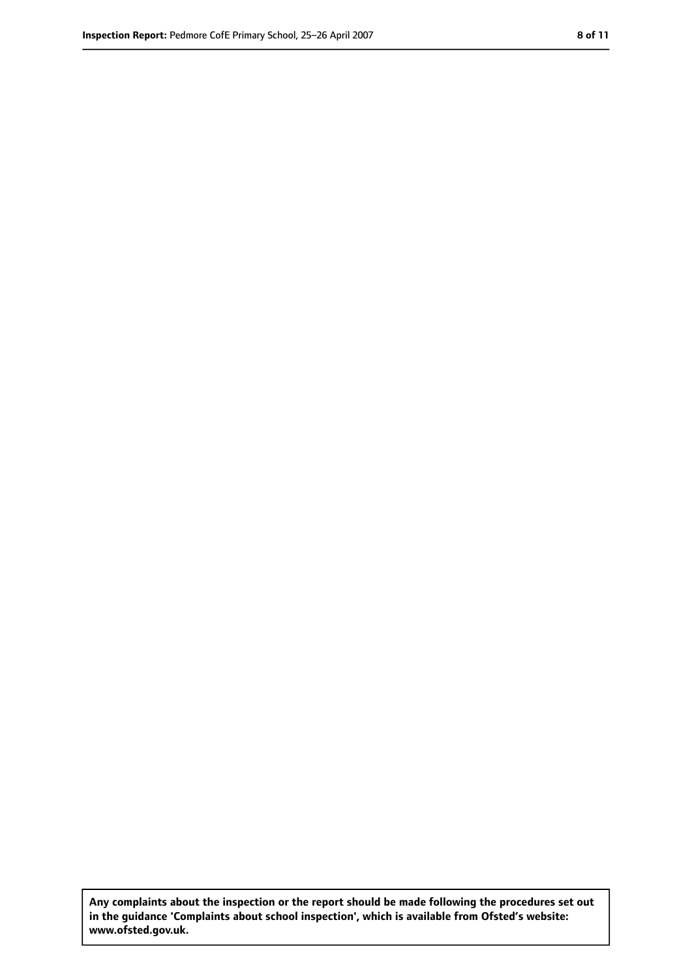**Any complaints about the inspection or the report should be made following the procedures set out in the guidance 'Complaints about school inspection', which is available from Ofsted's website: www.ofsted.gov.uk.**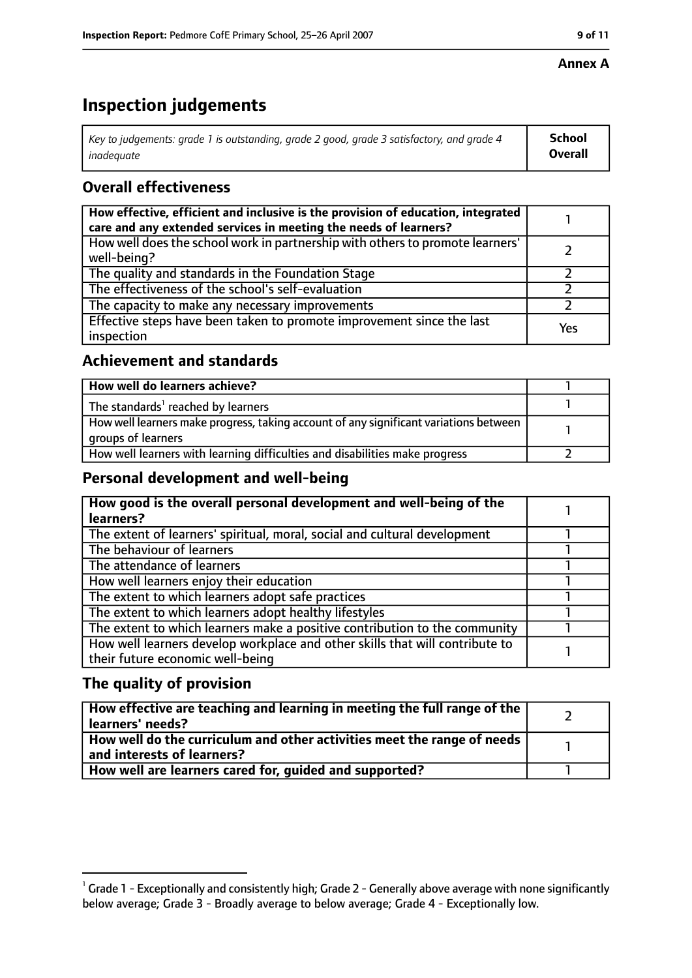#### **Annex A**

### **Inspection judgements**

| Key to judgements: grade 1 is outstanding, grade 2 good, grade 3 satisfactory, and grade 4 | <b>School</b>  |
|--------------------------------------------------------------------------------------------|----------------|
| inadequate                                                                                 | <b>Overall</b> |

### **Overall effectiveness**

| How effective, efficient and inclusive is the provision of education, integrated<br>care and any extended services in meeting the needs of learners? |     |
|------------------------------------------------------------------------------------------------------------------------------------------------------|-----|
| How well does the school work in partnership with others to promote learners'<br>well-being?                                                         |     |
| The quality and standards in the Foundation Stage                                                                                                    |     |
| The effectiveness of the school's self-evaluation                                                                                                    |     |
| The capacity to make any necessary improvements                                                                                                      |     |
| Effective steps have been taken to promote improvement since the last<br>inspection                                                                  | Yes |

#### **Achievement and standards**

| How well do learners achieve?                                                                               |  |
|-------------------------------------------------------------------------------------------------------------|--|
| The standards <sup>1</sup> reached by learners                                                              |  |
| How well learners make progress, taking account of any significant variations between<br>groups of learners |  |
| How well learners with learning difficulties and disabilities make progress                                 |  |

#### **Personal development and well-being**

| How good is the overall personal development and well-being of the<br>learners?                                  |  |
|------------------------------------------------------------------------------------------------------------------|--|
| The extent of learners' spiritual, moral, social and cultural development                                        |  |
| The behaviour of learners                                                                                        |  |
| The attendance of learners                                                                                       |  |
| How well learners enjoy their education                                                                          |  |
| The extent to which learners adopt safe practices                                                                |  |
| The extent to which learners adopt healthy lifestyles                                                            |  |
| The extent to which learners make a positive contribution to the community                                       |  |
| How well learners develop workplace and other skills that will contribute to<br>their future economic well-being |  |

### **The quality of provision**

| How effective are teaching and learning in meeting the full range of the<br>learners' needs?          |  |
|-------------------------------------------------------------------------------------------------------|--|
| How well do the curriculum and other activities meet the range of needs<br>and interests of learners? |  |
| How well are learners cared for, quided and supported?                                                |  |

 $^1$  Grade 1 - Exceptionally and consistently high; Grade 2 - Generally above average with none significantly below average; Grade 3 - Broadly average to below average; Grade 4 - Exceptionally low.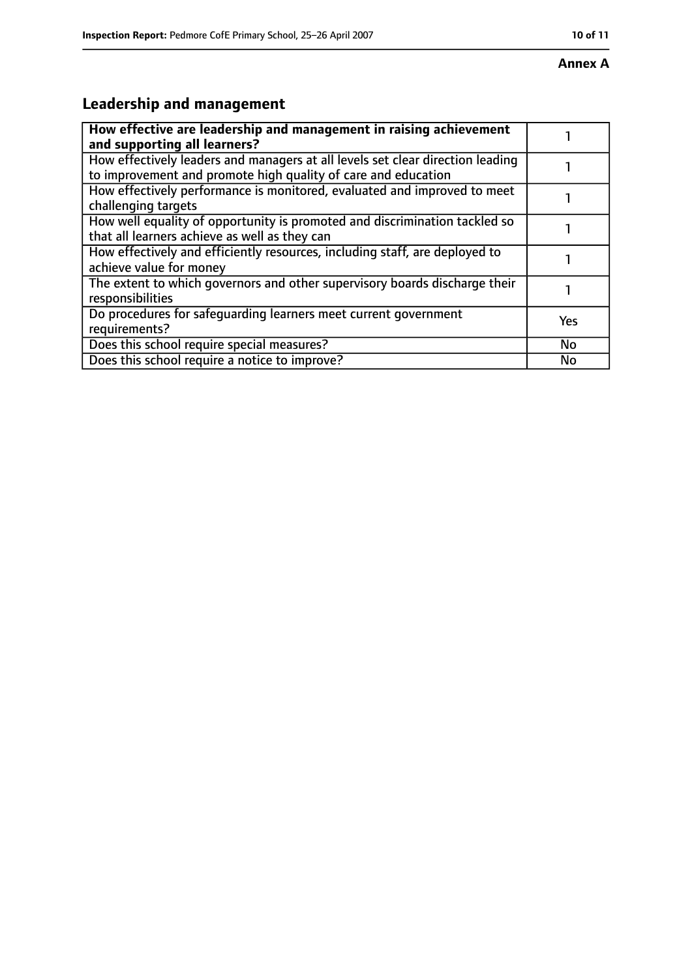#### **Annex A**

## **Leadership and management**

| How effective are leadership and management in raising achievement<br>and supporting all learners?                                              |     |
|-------------------------------------------------------------------------------------------------------------------------------------------------|-----|
| How effectively leaders and managers at all levels set clear direction leading<br>to improvement and promote high quality of care and education |     |
| How effectively performance is monitored, evaluated and improved to meet<br>challenging targets                                                 |     |
| How well equality of opportunity is promoted and discrimination tackled so<br>that all learners achieve as well as they can                     |     |
| How effectively and efficiently resources, including staff, are deployed to<br>achieve value for money                                          |     |
| The extent to which governors and other supervisory boards discharge their<br>responsibilities                                                  |     |
| Do procedures for safeguarding learners meet current government<br>requirements?                                                                | Yes |
| Does this school require special measures?                                                                                                      | No  |
| Does this school require a notice to improve?                                                                                                   | No  |